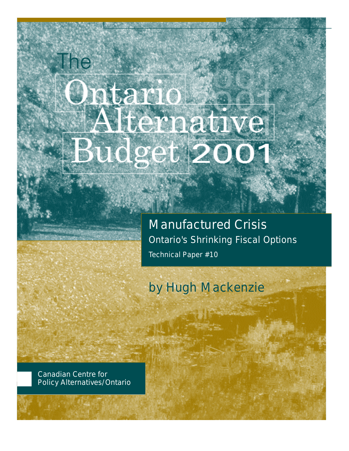# Intario Alternative Budget 200

Manufactured Crisis Ontario's Shrinking Fiscal Options Technical Paper #10

### by Hugh Mackenzie

Canadian Centre for Policy Alternatives/Ontario

**The**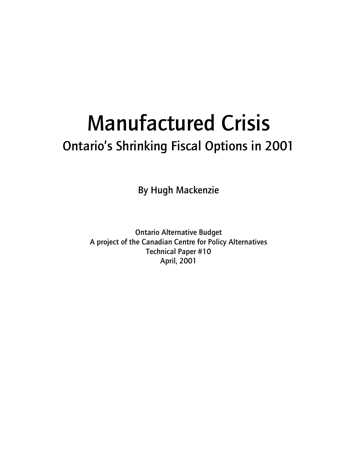## Manufactured Crisis Ontario's Shrinking Fiscal Options in 2001

By Hugh Mackenzie

Ontario Alternative Budget A project of the Canadian Centre for Policy Alternatives Technical Paper #10 April, 2001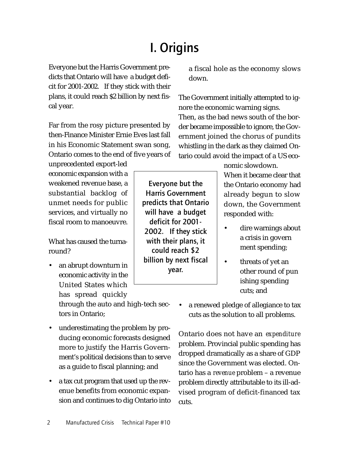### I. Origins

billion by next fiscal year.

Everyone but the Harris Government predicts that Ontario will have a budget deficit for 2001-2002. If they stick with their plans, it could reach \$2 billion by next fiscal year.

Far from the rosy picture presented by then-Finance Minister Ernie Eves last fall in his Economic Statement swan song, Ontario comes to the end of five years of

unprecedented export-led economic expansion with a weakened revenue base, a substantial backlog of unmet needs for public services, and virtually no fiscal room to manoeuvre.

What has caused the turnaround?

• an abrupt downturn in economic activity in the United States which has spread quickly

through the auto and high-tech sectors in Ontario;

- underestimating the problem by producing economic forecasts designed more to justify the Harris Government's political decisions than to serve as a guide to fiscal planning; and
- a tax cut program that used up the revenue benefits from economic expansion and continues to dig Ontario into

a fiscal hole as the economy slows down.

The Government initially attempted to ignore the economic warning signs. Then, as the bad news south of the border became impossible to ignore, the Government joined the chorus of pundits whistling in the dark as they claimed Ontario could avoid the impact of a US eco-

nomic slowdown.

When it became clear that the Ontario economy had already begun to slow down, the Government responded with:

- dire warnings about a crisis in govern ment spending;
- threats of yet an other round of pun ishing spending cuts; and
- a renewed pledge of allegiance to tax cuts as the solution to all problems.

Ontario does not have an *expenditure* problem. Provincial public spending has dropped dramatically as a share of GDP since the Government was elected. Ontario has a *revenue* problem – a revenue problem directly attributable to its ill-advised program of deficit-financed tax cuts.

Everyone but the Harris Government predicts that Ontario will have a budget deficit for 2001- 2002. If they stick with their plans, it could reach \$2

2 Manufactured Crisis Technical Paper #10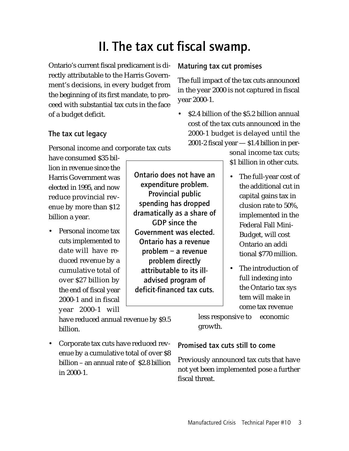### II. The tax cut fiscal swamp.

Ontario's current fiscal predicament is directly attributable to the Harris Government's decisions, in every budget from the beginning of its first mandate, to proceed with substantial tax cuts in the face of a budget deficit.

#### The tax cut legacy

Personal income and corporate tax cuts

have consumed \$35 billion in revenue since the Harris Government was elected in 1995, and now reduce provincial revenue by more than \$12 billion a year.

• Personal income tax cuts implemented to date will have reduced revenue by a cumulative total of over \$27 billion by the end of fiscal year 2000-1 and in fiscal year 2000-1 will

have reduced annual revenue by \$9.5 billion.

• Corporate tax cuts have reduced revenue by a cumulative total of over \$8 billion – an annual rate of \$2.8 billion in 2000-1.

Ontario does not have an expenditure problem. Provincial public spending has dropped dramatically as a share of GDP since the Government was elected. Ontario has a revenue problem – a revenue problem directly attributable to its illadvised program of deficit-financed tax cuts.

Maturing tax cut promises

The full impact of the tax cuts announced in the year 2000 is not captured in fiscal year 2000-1.

• \$2.4 billion of the \$5.2 billion annual cost of the tax cuts announced in the 2000-1 budget is delayed until the 2001-2 fiscal year — \$1.4 billion in per-

> sonal income tax cuts; \$1 billion in other cuts.

- The full-year cost of the additional cut in capital gains tax in clusion rate to 50%, implemented in the Federal Fall Mini-Budget, will cost Ontario an addi tional \$770 million.
- The introduction of full indexing into the Ontario tax sys tem will make in come tax revenue

less responsive to economic growth.

Promised tax cuts still to come

Previously announced tax cuts that have not yet been implemented pose a further fiscal threat.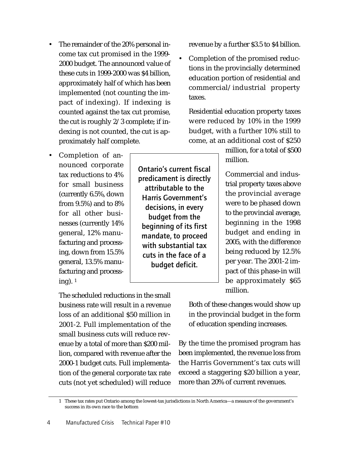- The remainder of the 20% personal income tax cut promised in the 1999- 2000 budget. The announced value of these cuts in 1999-2000 was \$4 billion, approximately half of which has been implemented (not counting the impact of indexing). If indexing is counted against the tax cut promise, the cut is roughly 2/3 complete; if indexing is not counted, the cut is approximately half complete.
- Completion of announced corporate tax reductions to 4% for small business (currently 6.5%, down from 9.5%) and to 8% for all other businesses (currently 14% general, 12% manufacturing and processing, down from 15.5% general, 13.5% manufacturing and processing). <sup>1</sup>

revenue by a further \$3.5 to \$4 billion.

• Completion of the promised reductions in the provincially determined education portion of residential and commercial/industrial property taxes.

Residential education property taxes were reduced by 10% in the 1999 budget, with a further 10% still to come, at an additional cost of \$250

> million, for a total of \$500 million.

> Commercial and industrial property taxes above the provincial average were to be phased down to the provincial average, beginning in the 1998 budget and ending in 2005, with the difference being reduced by 12.5% per year. The 2001-2 impact of this phase-in will be approximately \$65 million.

The scheduled reductions in the small business rate will result in a revenue loss of an additional \$50 million in 2001-2. Full implementation of the small business cuts will reduce revenue by a total of more than \$200 million, compared with revenue after the 2000-1 budget cuts. Full implementation of the general corporate tax rate cuts (not yet scheduled) will reduce

Both of these changes would show up in the provincial budget in the form of education spending increases.

By the time the promised program has been implemented, the revenue loss from the Harris Government's tax cuts will exceed a staggering \$20 billion a year, more than 20% of current revenues.

Ontario's current fiscal predicament is directly attributable to the Harris Government's decisions, in every budget from the beginning of its first mandate, to proceed with substantial tax cuts in the face of a budget deficit.

<sup>1</sup> These tax rates put Ontario among the lowest-tax jurisdictions in North America—a measure of the government's success in its own race to the bottom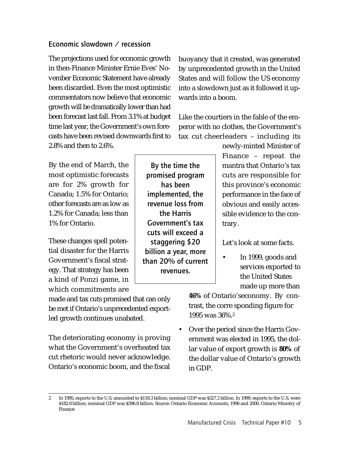#### Economic slowdown / recession

The projections used for economic growth in then-Finance Minister Ernie Eves' November Economic Statement have already been discarded. Even the most optimistic commentators now believe that economic growth will be dramatically lower than had been forecast last fall. From 3.1% at budget time last year, the Government's own forecasts have been revised downwards first to 2.8% and then to 2.6%.

By the end of March, the most optimistic forecasts are for 2% growth for Canada; 1.5% for Ontario; other forecasts are as low as 1.2% for Canada; less than 1% for Ontario.

These changes spell potential disaster for the Harris Government's fiscal strategy. That strategy has been a kind of Ponzi game, in which commitments are

made and tax cuts promised that can only be met if Ontario's unprecedented exportled growth continues unabated.

The deteriorating economy is proving what the Government's overheated tax cut rhetoric would never acknowledge. Ontario's economic boom, and the fiscal

By the time the promised program has been implemented, the revenue loss from the Harris Government's tax cuts will exceed a staggering \$20 billion a year, more than 20% of current revenues.

buoyancy that it created, was generated by unprecedented growth in the United States and will follow the US economy into a slowdown just as it followed it upwards into a boom.

Like the courtiers in the fable of the emperor with no clothes, the Government's tax cut cheerleaders – including its

> newly-minted Minister of Finance – repeat the mantra that Ontario's tax cuts are responsible for this province's economic performance in the face of obvious and easily accessible evidence to the contrary.

Let's look at some facts.

• In 1999, goods and services exported to the United States made up more than

**46%** of Ontario'seconomy. By contrast, the corre sponding figure for 1995 was 36%.<sup>2</sup>

• Over the period since the Harris Government was elected in 1995, the dollar value of export growth is **80%** of the dollar value of Ontario's growth in GDP.

<sup>2</sup> In 1995, exports to the U.S. amounted to \$118.3 billion; nominal GDP was \$327.2 billion. In 1999, exports to the U.S. were \$182.8 billion; nominal GDP was \$396.8 billion. Source: Ontario Economic Accounts, 1996 and 2000, Ontario Ministry of Finance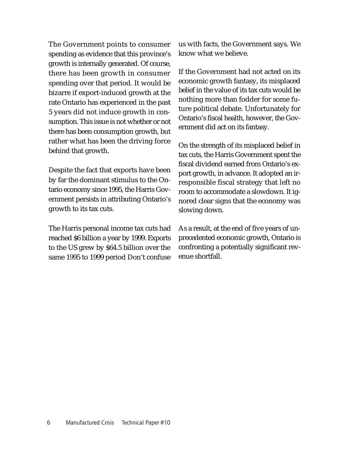The Government points to consumer spending as evidence that this province's growth is internally generated. Of course, there has been growth in consumer spending over that period. It would be bizarre if export-induced growth at the rate Ontario has experienced in the past 5 years did not induce growth in consumption. This issue is not whether or not there has been consumption growth, but rather what has been the driving force behind that growth.

Despite the fact that exports have been by far the dominant stimulus to the Ontario economy since 1995, the Harris Government persists in attributing Ontario's growth to its tax cuts.

The Harris personal income tax cuts had reached \$6 billion a year by 1999. Exports to the US grew by \$64.5 billion over the same 1995 to 1999 period Don't confuse us with facts, the Government says. We know what we believe.

If the Government had not acted on its economic growth fantasy, its misplaced belief in the value of its tax cuts would be nothing more than fodder for some future political debate. Unfortunately for Ontario's fiscal health, however, the Government did act on its fantasy.

On the strength of its misplaced belief in tax cuts, the Harris Government spent the fiscal dividend earned from Ontario's export growth, in advance. It adopted an irresponsible fiscal strategy that left no room to accommodate a slowdown. It ignored clear signs that the economy was slowing down.

As a result, at the end of five years of unprecedented economic growth, Ontario is confronting a potentially significant revenue shortfall.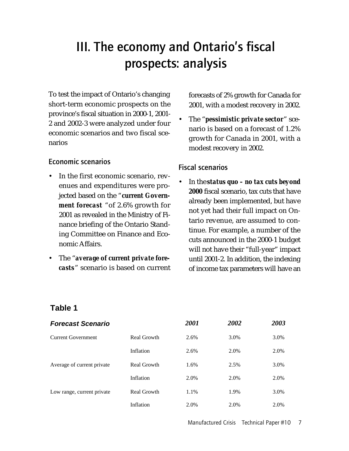### III. The economy and Ontario's fiscal prospects: analysis

To test the impact of Ontario's changing short-term economic prospects on the province's fiscal situation in 2000-1, 2001- 2 and 2002-3 were analyzed under four economic scenarios and two fiscal scenarios

#### Economic scenarios

- In the first economic scenario, revenues and expenditures were projected based on the "*current Government forecast* "of 2.6% growth for 2001 as revealed in the Ministry of Finance briefing of the Ontario Standing Committee on Finance and Economic Affairs.
- The "*average of current private forecasts*" scenario is based on current

forecasts of 2% growth for Canada for 2001, with a modest recovery in 2002.

• The "*pessimistic private sector*" scenario is based on a forecast of 1.2% growth for Canada in 2001, with a modest recovery in 2002.

#### Fiscal scenarios

• In the *status quo – no tax cuts beyond 2000* fiscal scenario, tax cuts that have already been implemented, but have not yet had their full impact on Ontario revenue, are assumed to continue. For example, a number of the cuts announced in the 2000-1 budget will not have their "full-year" impact until 2001-2. In addition, the indexing of income tax parameters will have an

#### **Table 1**

| <b>Forecast Scenario</b>   |             | 2001 | 2002 | 2003 |
|----------------------------|-------------|------|------|------|
| Current Government         | Real Growth | 2.6% | 3.0% | 3.0% |
|                            | Inflation   | 2.6% | 2.0% | 2.0% |
| Average of current private | Real Growth | 1.6% | 2.5% | 3.0% |
|                            | Inflation   | 2.0% | 2.0% | 2.0% |
| Low range, current private | Real Growth | 1.1% | 1.9% | 3.0% |
|                            | Inflation   | 2.0% | 2.0% | 2.0% |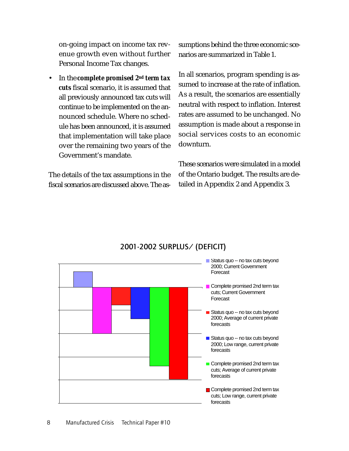on-going impact on income tax revenue growth even without further Personal Income Tax changes.

• In the *complete promised 2nd term tax cuts* fiscal scenario, it is assumed that all previously announced tax cuts will continue to be implemented on the announced schedule. Where no schedule has been announced, it is assumed that implementation will take place over the remaining two years of the Government's mandate.

The details of the tax assumptions in the fiscal scenarios are discussed above. The assumptions behind the three economic scenarios are summarized in Table 1.

In all scenarios, program spending is assumed to increase at the rate of inflation. As a result, the scenarios are essentially neutral with respect to inflation. Interest rates are assumed to be unchanged. No assumption is made about a response in social services costs to an economic downturn.

These scenarios were simulated in a model of the Ontario budget. The results are detailed in Appendix 2 and Appendix 3.



### 2001-2002 SURPLUS/ (DEFICIT)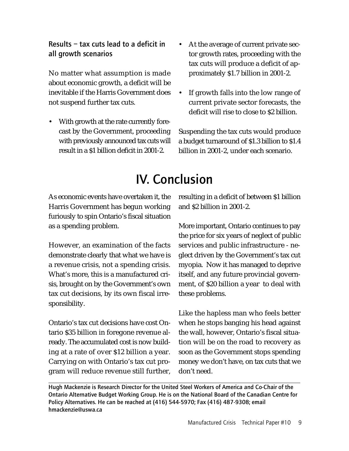Results – tax cuts lead to a deficit in all growth scenarios

No matter what assumption is made about economic growth, a deficit will be inevitable if the Harris Government does not suspend further tax cuts.

- With growth at the rate currently forecast by the Government, proceeding with previously announced tax cuts will result in a \$1 billion deficit in 2001-2.
- At the average of current private sector growth rates, proceeding with the tax cuts will produce a deficit of approximately \$1.7 billion in 2001-2.
- If growth falls into the low range of current private sector forecasts, the deficit will rise to close to \$2 billion.

Suspending the tax cuts would produce a budget turnaround of \$1.3 billion to \$1.4 billion in 2001-2, under each scenario.

### IV. Conclusion

As economic events have overtaken it, the Harris Government has begun working furiously to spin Ontario's fiscal situation as a spending problem.

However, an examination of the facts demonstrate clearly that what we have is a revenue crisis, not a spending crisis. What's more, this is a manufactured crisis, brought on by the Government's own tax cut decisions, by its own fiscal irresponsibility.

Ontario's tax cut decisions have cost Ontario \$35 billion in foregone revenue already. The accumulated cost is now building at a rate of over \$12 billion a year. Carrying on with Ontario's tax cut program will reduce revenue still further, resulting in a deficit of between \$1 billion and \$2 billion in 2001-2.

More important, Ontario continues to pay the price for six years of neglect of public services and public infrastructure - neglect driven by the Government's tax cut myopia. Now it has managed to deprive itself, and any future provincial government, of \$20 billion a year to deal with these problems.

Like the hapless man who feels better when he stops banging his head against the wall, however, Ontario's fiscal situation will be on the road to recovery as soon as the Government stops spending money we don't have, on tax cuts that we don't need.

Hugh Mackenzie is Research Director for the United Steel Workers of America and Co-Chair of the Ontario Alternative Budget Working Group. He is on the National Board of the Canadian Centre for Policy Alternatives. He can be reached at (416) 544-5970; Fax (416) 487-9308; email hmackenzie@uswa.ca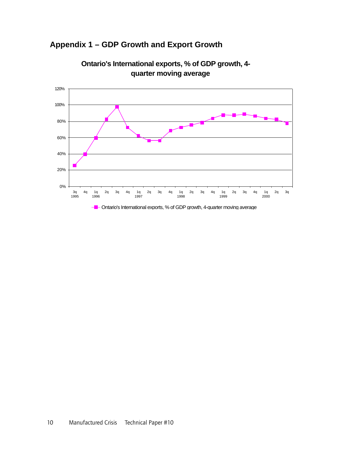### **Appendix 1 – GDP Growth and Export Growth**



**Ontario's International exports, % of GDP growth, 4 quarter moving average**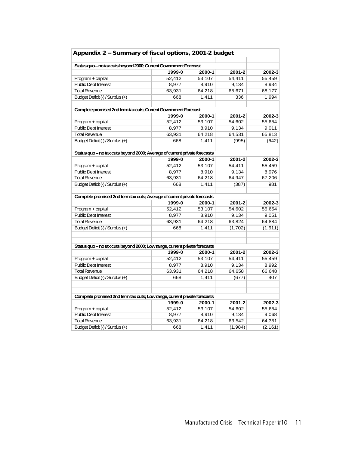| Appendix 2 - Summary of fiscal options, 2001-2 budget                      |                  |        |         |          |
|----------------------------------------------------------------------------|------------------|--------|---------|----------|
|                                                                            |                  |        |         |          |
| Status quo - no tax cuts beyond 2000; Current Government Forecast          |                  |        |         |          |
|                                                                            | 1999-0           | 2000-1 | 2001-2  | 2002-3   |
| Program + capital                                                          | 52.412           | 53,107 | 54,411  | 55,459   |
| <b>Public Debt Interest</b>                                                | 8,977            | 8,910  | 9,134   | 8,934    |
| <b>Total Revenue</b>                                                       | 63,931           | 64,218 | 65,671  | 68,177   |
| Budget Deficit (-) / Surplus (+)                                           | 668              | 1,411  | 336     | 1,994    |
|                                                                            |                  |        |         |          |
| Complete promised 2nd term tax cuts; Current Government Forecast           |                  |        |         |          |
| Program + capital                                                          | 1999-0<br>52,412 | 2000-1 | 2001-2  | 2002-3   |
| <b>Public Debt Interest</b>                                                |                  | 53,107 | 54,602  | 55,654   |
|                                                                            | 8,977            | 8,910  | 9,134   | 9,011    |
| <b>Total Revenue</b>                                                       | 63,931           | 64,218 | 64,531  | 65,813   |
| Budget Deficit (-) / Surplus (+)                                           | 668              | 1.411  | (995)   | (642)    |
| Status quo - no tax cuts beyond 2000; Average of current private forecasts |                  |        |         |          |
|                                                                            | 1999-0           | 2000-1 | 2001-2  | 2002-3   |
| Program + capital                                                          | 52,412           | 53,107 | 54,411  | 55,459   |
| <b>Public Debt Interest</b>                                                | 8,977            | 8,910  | 9,134   | 8,976    |
| <b>Total Revenue</b>                                                       | 63,931           | 64,218 | 64,947  | 67,206   |
| Budget Deficit (-) / Surplus (+)                                           | 668              | 1.411  | (387)   | 981      |
|                                                                            |                  |        |         |          |
| Complete promised 2nd term tax cuts; Average of current private forecasts  |                  |        |         |          |
|                                                                            | 1999-0           | 2000-1 | 2001-2  | 2002-3   |
| Program + capital                                                          | 52,412           | 53,107 | 54,602  | 55,654   |
| <b>Public Debt Interest</b>                                                | 8,977            | 8,910  | 9,134   | 9,051    |
| <b>Total Revenue</b>                                                       | 63,931           | 64,218 | 63,824  | 64,884   |
| Budget Deficit (-) / Surplus (+)                                           | 668              | 1,411  | (1,702) | (1,611)  |
|                                                                            |                  |        |         |          |
|                                                                            |                  |        |         |          |
| Status quo - no tax cuts beyond 2000; Low range, current private forecasts |                  |        |         |          |
|                                                                            | 1999-0           | 2000-1 | 2001-2  | 2002-3   |
| Program + capital                                                          | 52,412           | 53,107 | 54,411  | 55,459   |
| <b>Public Debt Interest</b>                                                | 8,977            | 8,910  | 9,134   | 8,992    |
| <b>Total Revenue</b>                                                       | 63,931           | 64,218 | 64,658  | 66,648   |
| Budget Deficit (-) / Surplus (+)                                           | 668              | 1.411  | (677)   | 407      |
|                                                                            |                  |        |         |          |
| Complete promised 2nd term tax cuts; Low range, current private forecasts  |                  |        |         |          |
|                                                                            | 1999-0           | 2000-1 | 2001-2  | 2002-3   |
| Program + capital                                                          | 52,412           | 53,107 | 54,602  | 55,654   |
| <b>Public Debt Interest</b>                                                | 8,977            | 8,910  | 9,134   | 9,068    |
| <b>Total Revenue</b>                                                       | 63,931           | 64,218 | 63,542  | 64,351   |
| Budget Deficit (-) / Surplus (+)                                           | 668              | 1,411  | (1,984) | (2, 161) |